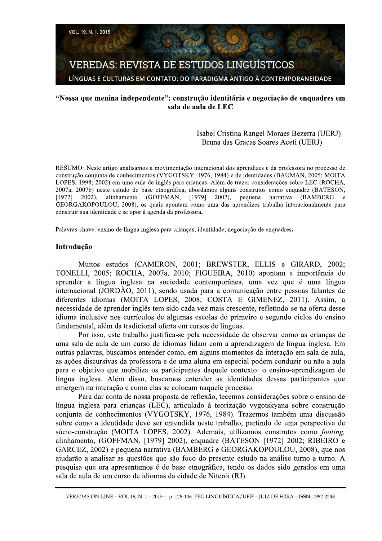# "Nossa que menina independente": construção identitária e negociação de enquadres em sala de aula de LEC

# Isabel Cristina Rangel Moraes Bezerra (UERJ) Bruna das Graças Soares Aceti (UERJ)

RESUMO: Neste artigo analisamos a movimentação interacional dos aprendizes e da professora no processo de construção conjunta de conhecimentos (VYGOTSKY, 1976, 1984) e de identidades (BAUMAN, 2005; MOITA LOPES, 1998; 2002) em uma aula de inglês para crianças. Além de trazer considerações sobre LEC (ROCHA, 2007a, 2007b) neste estudo de base etnográfica, abordamos alguns construtos como enquadre (BATESON, (GOFFMAN, [1979] 2002), pequena narrativa  $[1972]$ 2002), alinhamento **(BAMBERG)**  $\epsilon$ GEORGAKOPOULOU, 2008), os quais apontam como uma das aprendizes trabalha interacionalmente para construir sua identidade e se opor à agenda da professora.

Palavras-chave: ensino de língua inglesa para criancas: identidade: negociação de enquadres.

## Introdução

Muitos estudos (CAMERON, 2001; BREWSTER, ELLIS e GIRARD, 2002; TONELLI, 2005; ROCHA, 2007a, 2010; FIGUEIRA, 2010) apontam a importância de aprender a língua inglesa na sociedade contemporânea, uma vez que é uma língua internacional (JORDÃO, 2011), sendo usada para a comunicação entre pessoas falantes de diferentes idiomas (MOITA LOPES, 2008; COSTA E GIMENEZ, 2011). Assim, a necessidade de aprender inglês tem sido cada vez mais crescente, refletindo-se na oferta desse idioma inclusive nos currículos de algumas escolas do primeiro e segundo ciclos do ensino fundamental, além da tradicional oferta em cursos de línguas.

Por isso, este trabalho justifica-se pela necessidade de observar como as crianças de uma sala de aula de um curso de idiomas lidam com a aprendizagem de língua inglesa. Em outras palavras, buscamos entender como, em alguns momentos da interação em sala de aula, as ações discursivas da professora e de uma aluna em especial podem conduzir ou não a aula para o objetivo que mobiliza os participantes daquele contexto: o ensino-aprendizagem de língua inglesa. Além disso, buscamos entender as identidades dessas participantes que emergem na interação e como elas se colocam naquele processo.

Para dar conta de nossa proposta de reflexão, tecemos considerações sobre o ensino de língua inglesa para crianças (LEC), articulado à teorização vygotskyana sobre construção conjunta de conhecimentos (VYGOTSKY, 1976, 1984). Trazemos também uma discussão sobre como a identidade deve ser entendida neste trabalho, partindo de uma perspectiva de sócio-construção (MOITA LOPES, 2002). Ademais, utilizamos construtos como footing, alinhamento, (GOFFMAN, [1979] 2002), enquadre (BATESON [1972] 2002; RIBEIRO e GARCEZ, 2002) e pequena narrativa (BAMBERG e GEORGAKOPOULOU, 2008), que nos ajudarão a analisar as questões que são foco do presente estudo na análise turno a turno. A pesquisa que ora apresentamos é de base etnográfica, tendo os dados sido gerados em uma sala de aula de um curso de idiomas da cidade de Niterói (RJ).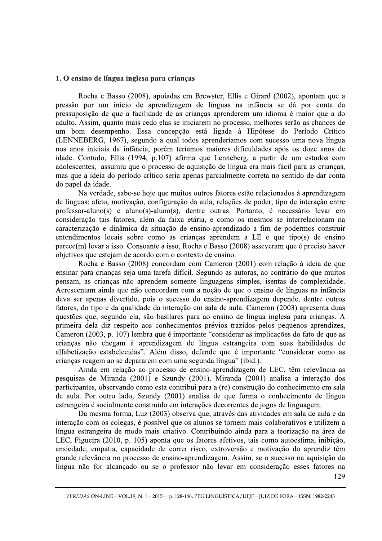### 1. O ensino de língua inglesa para crianças

 Rocha e Basso (2008), apoiadas em Brewster, Ellis e Girard (2002), apontam que a pressão por um início de aprendizagem de línguas na infância se dá por conta da pressuposição de que a facilidade de as crianças aprenderem um idioma é maior que a do adulto. Assim, quanto mais cedo elas se iniciarem no processo, melhores serão as chances de um bom desempenho. Essa concepção está ligada à Hipótese do Período Crítico (LENNEBERG, 1967), segundo a qual todos aprenderíamos com sucesso uma nova língua nos anos iniciais da infância, porém teríamos maiores dificuldades após os doze anos de idade. Contudo, Ellis (1994, p.107) afirma que Lenneberg, a partir de um estudos com adolescentes, assumiu que o processo de aquisição de língua era mais fácil para as crianças, mas que a ideia do período crítico seria apenas parcialmente correta no sentido de dar conta do papel da idade.

Na verdade, sabe-se hoje que muitos outros fatores estão relacionados à aprendizagem de línguas: afeto, motivação, configuração da aula, relações de poder, tipo de interação entre  $\text{professor-aluno}(s)$  e aluno(s)-aluno(s), dentre outras. Portanto, é necessário levar em consideração tais fatores, além da faixa etária, e como os mesmos se interrelacionam na caracterização e dinâmica da situação de ensino-aprendizado a fim de podermos construir entendimentos locais sobre como as crianças aprendem a LE e que tipo(s) de ensino  $\Gamma$ parece $(m)$  levar a isso. Consoante a isso, Rocha e Basso (2008) asseveram que é preciso haver objetivos que estejam de acordo com o contexto de ensino.

Rocha e Basso (2008) concordam com Cameron (2001) com relação à ideia de que ensinar para crianças seja uma tarefa difícil. Segundo as autoras, ao contrário do que muitos pensam, as crianças não aprendem somente linguagens simples, isentas de complexidade. Acrescentam ainda que não concordam com a noção de que o ensino de línguas na infância deva ser apenas divertido, pois o sucesso do ensino-aprendizagem depende, dentre outros fatores, do tipo e da qualidade da interação em sala de aula. Cameron (2003) apresenta duas questões que, segundo ela, são basilares para ao ensino de lingua inglesa para crianças. A primeira dela diz respeito aos conhecimentos prévios trazidos pelos pequenos aprendizes, Cameron (2003, p. 107) lembra que é importante "considerar as implicações do fato de que as crianças não chegam à aprendizagem de lingua estrangeira com suas habilidades de alfabetização estabelecidas". Além disso, defende que é importante "considerar como as crianças reagem ao se depararem com uma segunda língua" (ibid.).

Ainda em relação ao processo de ensino-aprendizagem de LEC, têm relevância as pesquisas de Miranda  $(2001)$  e Szundy  $(2001)$ . Miranda  $(2001)$  analisa a interação dos participantes, observando como esta contribui para a (re) construção do conhecimento em sala de aula. Por outro lado, Szundy (2001) analisa de que forma o conhecimento de língua estrangeira é socialmente construído em interações decorrentes de jogos de linguagem.

dade de correr risco, extroversão e motivação do apso de ensino-aprendizagem. Assim, se o sucesso na a<br>sou se o professor não levar em consideração esses<br>.1-2015- p. 128-146. PPG LINGUÍSTICA/UFJF-JUIZ DE FORA-ISSN: 129 Da mesma forma, Luz (2003) observa que, através das atividades em sala de aula e da interação com os colegas, é possível que os alunos se tornem mais colaborativos e utilizem a língua estrangeira de modo mais criativo. Contribuindo ainda para a teorização na área de LEC, Figueira (2010, p. 105) aponta que os fatores afetivos, tais como autoestima, inibição, ansiedade, empatia, capacidade de correr risco, extroversão e motivação do aprendiz têm grande relevância no processo de ensino-aprendizagem. Assim, se o sucesso na aquisição da língua não for alcançado ou se o professor não levar em consideração esses fatores na

J. VEREDAS ON-LINE – VOL.19, N. 1 – 2015 – p. 128-146. PPG LINGUÍSTICA / UFJF – JUIZ DE FORA – ISSN: 1982-2243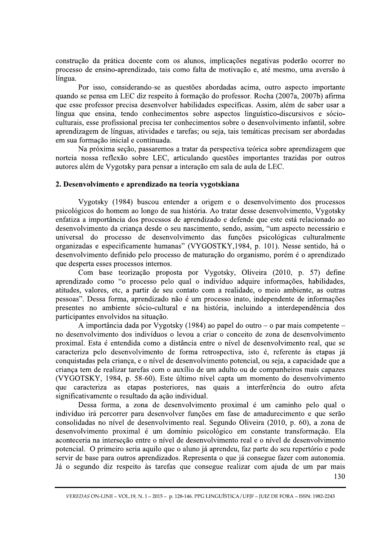construção da prática docente com os alunos, implicações negativas poderão ocorrer no processo de ensino-aprendizado, tais como falta de motivação e, até mesmo, uma aversão à língua.

Por isso, considerando-se as questões abordadas acima, outro aspecto importante quando se pensa em LEC diz respeito à formação do professor. Rocha (2007a, 2007b) afirma que esse professor precisa desenvolver habilidades específicas. Assim, além de saber usar a língua que ensina, tendo conhecimentos sobre aspectos linguístico-discursivos e sócioculturais, esse profissional precisa ter conhecimentos sobre o desenvolvimento infantil, sobre aprendizagem de línguas, atividades e tarefas; ou seja, tais temáticas precisam ser abordadas em sua formação inicial e continuada.

Na próxima seção, passaremos a tratar da perspectiva teórica sobre aprendizagem que norteia nossa reflexão sobre LEC, articulando questões importantes trazidas por outros autores além de Vygotsky para pensar a interação em sala de aula de LEC.

#### 2. Desenvolvimento e aprendizado na teoria vygotskiana

Vygotsky (1984) buscou entender a origem e o desenvolvimento dos processos psicológicos do homem ao longo de sua história. Ao tratar desse desenvolvimento, Vygotsky enfatiza a importância dos processos de aprendizado e defende que este está relacionado ao desenvolvimento da criança desde o seu nascimento, sendo, assim, "um aspecto necessário e universal do processo de desenvolvimento das funções psicológicas culturalmente organizadas e especificamente humanas" (VYGOSTKY,1984, p. 101). Nesse sentido, há o desenvolvimento definido pelo processo de maturação do organismo, porém é o aprendizado que desperta esses processos internos.

Com base teorização proposta por Vygotsky, Oliveira (2010, p. 57) define aprendizado como "o processo pelo qual o indivíduo adquire informações, habilidades, atitudes, valores, etc, a partir de seu contato com a realidade, o meio ambiente, as outras pessoas". Dessa forma, aprendizado não é um processo inato, independente de informações presentes no ambiente sócio-cultural e na história, incluindo a interdependência dos participantes envolvidos na situação.

A importância dada por Vygotsky (1984) ao papel do outro – o par mais competente – no desenvolvimento dos indivíduos o levou a criar o conceito de zona de desenvolvimento proximal. Esta é entendida como a distância entre o nível de desenvolvimento real, que se caracteriza pelo desenvolvimento de forma retrospectiva, isto é, referente às etapas já conquistadas pela criança, e o nível de desenvolvimento potencial, ou seja, a capacidade que a criança tem de realizar tarefas com o auxílio de um adulto ou de companheiros mais capazes (VYGOTSKY, 1984, p. 58-60). Este último nível capta um momento do desenvolvimento que caracteriza as etapas posteriores, nas quais a interferência do outro afeta significativamente o resultado da ação individual.

Dessa forma, a zona de desenvolvimento proximal é um caminho pelo qual o indivíduo irá percorrer para desenvolver funções em fase de amadurecimento e que serão consolidadas no nível de desenvolvimento real. Segundo Oliveira (2010, p. 60), a zona de desenvolvimento proximal é um domínio psicológico em constante transformação. Ela aconteceria na interseção entre o nível de desenvolvimento real e o nível de desenvolvimento potencial. O primeiro seria aquilo que o aluno já aprendeu, faz parte do seu repertório e pode servir de base para outros aprendizados. Representa o que já consegue fazer com autonomia. Já o segundo diz respeito às tarefas que consegue realizar com ajuda de um par mais 130

VEREDAS ON-LINE - VOL.19, N. 1 - 2015 - p. 128-146. PPG LINGUÍSTICA / UFJF - JUIZ DE FORA - ISSN: 1982-2243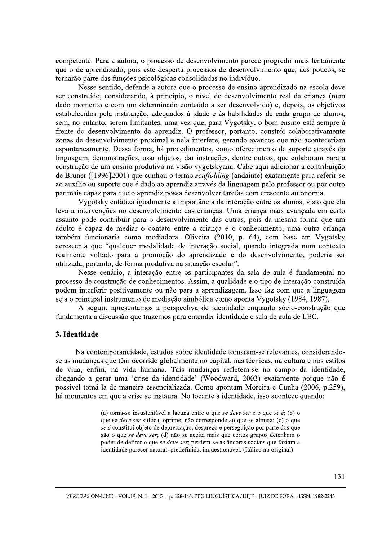competente. Para a autora, o processo de desenvolvimento parece progredir mais lentamente que o de aprendizado, pois este desperta processos de desenvolvimento que, aos poucos, se tornarão parte das funções psicológicas consolidadas no indivíduo.

Nesse sentido, defende a autora que o processo de ensino-aprendizado na escola deve ser construído, considerando, à princípio, o nível de desenvolvimento real da criança (num dado momento e com um determinado conteúdo a ser desenvolvido) e, depois, os objetivos estabelecidos pela instituição, adequados à idade e às habilidades de cada grupo de alunos, sem, no entanto, serem limitantes, uma vez que, para Vygotsky, o bom ensino está sempre à frente do desenvolvimento do aprendiz. O professor, portanto, constrói colaborativamente zonas de desenvolvimento proximal e nela interfere, gerando avanços que não aconteceriam espontaneamente. Dessa forma, há procedimentos, como oferecimento de suporte através da linguagem, demonstrações, usar objetos, dar instruções, dentre outros, que colaboram para a construção de um ensino produtivo na visão vygotskyana. Cabe aqui adicionar a contribuição de Bruner ([1996]2001) que cunhou o termo *scaffolding* (andaime) exatamente para referir-se ao auxílio ou suporte que é dado ao aprendiz através da linguagem pelo professor ou por outro par mais capaz para que o aprendiz possa desenvolver tarefas com crescente autonomia.

Vygotsky enfatiza igualmente a importância da interação entre os alunos, visto que ela leva a intervenções no desenvolvimento das crianças. Uma criança mais avançada em certo assunto pode contribuir para o desenvolvimento das outras, pois da mesma forma que um adulto é capaz de mediar o contato entre a criança e o conhecimento, uma outra criança também funcionaria como mediadora. Oliveira (2010, p. 64), com base em Vygotsky acrescenta que "qualquer modalidade de interação social, quando integrada num contexto realmente voltado para a promoção do aprendizado e do desenvolvimento, poderia ser utilizada, portanto, de forma produtiva na situação escolar".

Nesse cenário, a interação entre os participantes da sala de aula é fundamental no processo de construção de conhecimentos. Assim, a qualidade e o tipo de interação construída podem interferir positivamente ou não para a aprendizagem. Isso faz com que a linguagem seja o principal instrumento de mediação simbólica como aponta Vygotsky (1984, 1987).

A seguir, apresentamos a perspectiva de identidade enquanto sócio-construção que fundamenta a discussão que trazemos para entender identidade e sala de aula de LEC.

## 3. Identidade

Na contemporaneidade, estudos sobre identidade tornaram-se relevantes, considerandose as mudanças que têm ocorrido globalmente no capital, nas técnicas, na cultura e nos estilos de vida, enfim, na vida humana. Tais mudanças refletem-se no campo da identidade, chegando a gerar uma 'crise da identidade' (Woodward, 2003) exatamente porque não é possível tomá-la de maneira essencializada. Como apontam Moreira e Cunha (2006, p.259), há momentos em que a crise se instaura. No tocante à identidade, isso acontece quando:

> (a) torna-se insustentável a lacuna entre o que se deve ser e o que se é; (b) o que se *deve ser* sufoca, oprime, não corresponde ao que se almeja; (c) o que se é constitui objeto de depreciação, desprezo e perseguição por parte dos que são o que se deve ser; (d) não se aceita mais que certos grupos detenham o poder de definir o que se deve ser; perdem-se as âncoras sociais que faziam a identidade parecer natural, predefinida, inquestionável. (Itálico no original)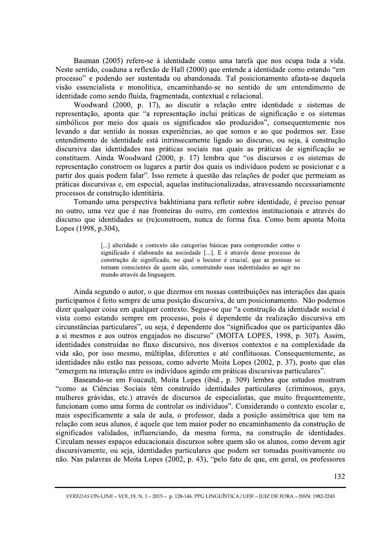Bauman (2005) refere-se à identidade como uma tarefa que nos ocupa toda a vida. Neste sentido, coaduna a reflexão de Hall (2000) que entende a identidade como estando "em processo" e podendo ser sustentada ou abandonada. Tal posicionamento afasta-se daquela visão essencialista e monolítica, encaminhando-se no sentido de um entendimento de identidade como sendo fluida, fragmentada, contextual e relacional.

Woodward (2000, p. 17), ao discutir a relação entre identidade e sistemas de representação, aponta que "a representação inclui práticas de significação e os sistemas simbólicos por meio dos quais os significados são produzidos", consequentemente nos levando a dar sentido às nossas experiências, ao que somos e ao que podemos ser. Esse entendimento de identidade está intrinsecamente ligado ao discurso, ou seja, à construção discursiva das identidades nas práticas sociais nas quais as práticas de significação se constituem. Ainda Woodward (2000, p. 17) lembra que "os discursos e os sistemas de representação constroem os lugares a partir dos quais os indivíduos podem se posicionar e a partir dos quais podem falar". Isso remete à questão das relações de poder que permeiam as práticas discursivas e, em especial, aquelas institucionalizadas, atravessando necessariamente processos de construção identitária.

Tomando uma perspectiva bakhtiniana para refletir sobre identidade, é preciso pensar no outro, uma vez que é nas fronteiras do outro, em contextos institucionais e através do discurso que identidades se (re)constroem, nunca de forma fixa. Como bem aponta Moita Lopes (1998, p.304),

> [...] alteridade e contexto são categorias básicas para compreender como o significado é elaborado na sociedade [...]. E é através desse processo de construção de significado, no qual o locutor é crucial, que as pessoas se tornam conscientes de quem são, construindo suas indentidades ao agir no mundo através da linguagem.

Ainda segundo o autor, o que dizemos em nossas contribuições nas interações das quais participamos é feito sempre de uma posição discursiva, de um posicionamento. Não podemos dizer qualquer coisa em qualquer contexto. Segue-se que "a construção da identidade social é vista como estando sempre em processo, pois é dependente da realização discursiva em circunstâncias particulares", ou seja, é dependente dos "significados que os participantes dão a si mesmos e aos outros engajados no discurso" (MOITA LOPES, 1998, p. 307). Assim, identidades construídas no fluxo discursivo, nos diversos contextos e na complexidade da vida são, por isso mesmo, múltiplas, diferentes e até conflituosas. Consequentemente, as identidades não estão nas pessoas, como adverte Moita Lopes (2002, p. 37), posto que elas "emergem na interação entre os indivíduos agindo em práticas discursivas particulares".

Baseando-se em Foucault, Moita Lopes (ibid., p. 309) lembra que estudos mostram "como as Ciências Sociais têm construído identidades particulares (criminosos, gays, mulheres grávidas, etc.) através de discursos de especialistas, que muito frequentemente, funcionam como uma forma de controlar os indivíduos". Considerando o contexto escolar e, mais especificamente a sala de aula, o professor, dada a posição assimétrica que tem na relação com seus alunos, é aquele que tem maior poder no encaminhamento da construção de significados validados, influenciando, da mesma forma, na construção de identidades. Circulam nesses espaços educacionais discursos sobre quem são os alunos, como devem agir discursivamente, ou seja, identidades particulares que podem ser tomadas positivamente ou não. Nas palavras de Moita Lopes (2002, p. 43), "pelo fato de que, em geral, os professores

VEREDAS ON-LINE - VOL.19, N. 1 - 2015 - p. 128-146. PPG LINGUÍSTICA / UFJF - JUIZ DE FORA - ISSN: 1982-2243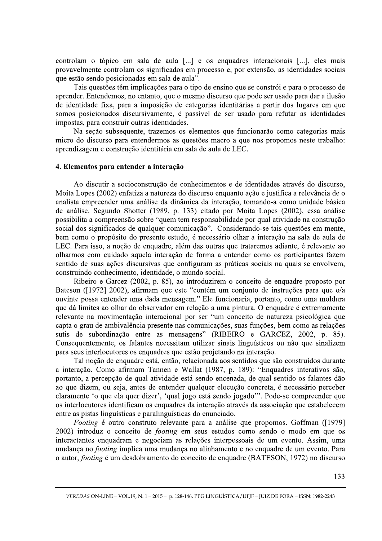controlam o tópico em sala de aula [...] e os enquadres interacionais [...], eles mais provavelmente controlam os significados em processo e, por extensão, as identidades sociais que estão sendo posicionadas em sala de aula".

Tais questões têm implicações para o tipo de ensino que se constrói e para o processo de aprender. Entendemos, no entanto, que o mesmo discurso que pode ser usado para dar a ilusão de identidade fixa, para a imposição de categorias identitárias a partir dos lugares em que somos posicionados discursivamente, é passível de ser usado para refutar as identidades impostas, para construir outras identidades.

Na secão subsequente, trazemos os elementos que funcionarão como categorias mais micro do discurso para entendermos as questões macro a que nos propomos neste trabalho: aprendizagem e construção identitária em sala de aula de LEC.

## 4. Elementos para entender a interação

Ao discutir a socioconstrução de conhecimentos e de identidades através do discurso, Moita Lopes (2002) enfatiza a natureza do discurso enquanto ação e justifica a relevância de o analista empreender uma análise da dinâmica da interação, tomando-a como unidade básica de análise. Segundo Shotter (1989, p. 133) citado por Moita Lopes (2002), essa análise possibilita a compreensão sobre "quem tem responsabilidade por qual atividade na construção social dos significados de qualquer comunicação". Considerando-se tais questões em mente, bem como o propósito do presente estudo, é necessário olhar a interação na sala de aula de LEC. Para isso, a noção de enquadre, além das outras que trataremos adiante, é relevante ao olharmos com cuidado aquela interação de forma a entender como os participantes fazem sentido de suas ações discursivas que configuram as práticas sociais na quais se envolvem, construindo conhecimento, identidade, o mundo social.

Ribeiro e Garcez (2002, p. 85), ao introduzirem o conceito de enquadre proposto por Bateson ([1972] 2002), afirmam que este "contém um conjunto de instruções para que o/a ouvinte possa entender uma dada mensagem." Ele funcionaria, portanto, como uma moldura que dá limites ao olhar do observador em relação a uma pintura. O enquadre é extremamente relevante na movimentação interacional por ser "um conceito de natureza psicológica que capta o grau de ambivalência presente nas comunicações, suas funções, bem como as relações sutis de subordinação entre as mensagens" (RIBEIRO e GARCEZ, 2002, p. 85). Consequentemente, os falantes necessitam utilizar sinais linguísticos ou não que sinalizem para seus interlocutores os enquadres que estão projetando na interação.

Tal noção de enquadre está, então, relacionada aos sentidos que são construídos durante a interação. Como afirmam Tannen e Wallat (1987, p. 189): "Enquadres interativos são, portanto, a percepção de qual atividade está sendo encenada, de qual sentido os falantes dão ao que dizem, ou seja, antes de entender qualquer elocução concreta, é necessário perceber claramente 'o que ela quer dizer', 'qual jogo está sendo jogado'". Pode-se compreender que os interlocutores identificam os enquadres da interação através da associação que estabelecem entre as pistas linguísticas e paralinguísticas do enunciado.

Footing é outro construto relevante para a análise que propomos. Goffman ([1979] 2002) introduz o conceito de *footing* em seus estudos como sendo o modo em que os interactantes enquadram e negociam as relações interpessoais de um evento. Assim. uma mudança no *footing* implica uma mudança no alinhamento e no enquadre de um evento. Para o autor, *footing* é um desdobramento do conceito de enquadre (BATESON, 1972) no discurso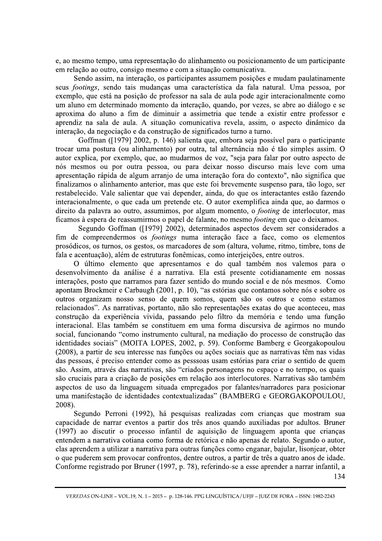e, ao mesmo tempo, uma representação do alinhamento ou posicionamento de um participante em relação ao outro, consigo mesmo e com a situação comunicativa.

Sendo assim, na interação, os participantes assumem posições e mudam paulatinamente seus *footings*, sendo tais mudanças uma característica da fala natural. Uma pessoa, por exemplo, que está na posição de professor na sala de aula pode agir interacionalmente como um aluno em determinado momento da interação, quando, por vezes, se abre ao diálogo e se aproxima do aluno a fim de diminuir a assimetria que tende a existir entre professor e aprendiz na sala de aula. A situação comunicativa revela, assim, o aspecto dinâmico da interação, da negociação e da construção de significados turno a turno.

Goffman ([1979] 2002, p. 146) salienta que, embora seja possível para o participante trocar uma postura (ou alinhamento) por outra, tal alternância não é tão simples assim. O autor explica, por exemplo, que, ao mudarmos de voz, "seja para falar por outro aspecto de nós mesmos ou por outra pessoa, ou para deixar nosso discurso mais leve com uma apresentação rápida de algum arranjo de uma interação fora do contexto", não significa que finalizamos o alinhamento anterior, mas que este foi brevemente suspenso para, tão logo, ser restabelecido. Vale salientar que vai depender, ainda, do que os interactantes estão fazendo interacionalmente, o que cada um pretende etc. O autor exemplifica ainda que, ao darmos o direito da palavra ao outro, assumimos, por algum momento, o *footing* de interlocutor, mas ficamos à espera de reassumirmos o papel de falante, no mesmo *footing* em que o deixamos.

Segundo Goffman ([1979] 2002), determinados aspectos devem ser considerados a fim de compreendermos os *footings* numa interação face a face, como os elementos prosódicos, os turnos, os gestos, os marcadores de som (altura, volume, ritmo, timbre, tons de fala e acentuação), além de estruturas fonêmicas, como interjeições, entre outros.

O último elemento que apresentamos e do qual também nos valemos para o desenvolvimento da análise é a narrativa. Ela está presente cotidianamente em nossas interações, posto que narramos para fazer sentido do mundo social e de nós mesmos. Como apontam Brockmeir e Carbaugh (2001, p. 10), "as estórias que contamos sobre nós e sobre os outros organizam nosso senso de quem somos, quem são os outros e como estamos relacionados". As narrativas, portanto, não são representações exatas do que aconteceu, mas construção da experiência vivida, passando pelo filtro da memória e tendo uma função interacional. Elas também se constituem em uma forma discursiva de agirmos no mundo social, funcionando "como instrumento cultural, na mediação do processo de construção das identidades sociais" (MOITA LOPES, 2002, p. 59). Conforme Bamberg e Georgakopoulou (2008), a partir de seu interesse nas funções ou ações sociais que as narrativas têm nas vidas das pessoas, é preciso entender como as pesssoas usam estórias para criar o sentido de quem são. Assim, através das narrativas, são "criados personagens no espaço e no tempo, os quais são cruciais para a criação de posições em relação aos interlocutores. Narrativas são também aspectos de uso da linguagem situada empregados por falantes/narradores para posicionar uma manifestação de identidades contextualizadas" (BAMBERG e GEORGAKOPOULOU, 2008).

r confrontos, dentre outros, a partir de três a quatro and<br>
uner (1997, p. 78), referindo-se a esse aprender a narra<br>
...-2015 – p. 128-146. PPG LINGUÍSTICA/UFJF – JUIZ DE FORA – ISSN:<br>
...-2015 – p. 128-146. PPG LINGUÍSTI Segundo Perroni (1992), há pesquisas realizadas com crianças que mostram sua capacidade de narrar eventos a partir dos três anos quando auxiliadas por adultos. Bruner  $(1997)$  ao discutir o processo infantil de aquisição de linguagem aponta que crianças entendem a narrativa cotiana como forma de retórica e não apenas de relato. Segundo o autor, elas aprendem a utilizar a narrativa para outras funções como enganar, bajular, lisonjear, obter o que puderem sem provocar confrontos, dentre outros, a partir de três a quatro anos de idade. Conforme registrado por Bruner (1997, p. 78), referindo-se a esse aprender a narrar infantil, a

J. VEREDAS ON-LINE – VOL.19, N. 1 – 2015 – p. 128-146. PPG LINGUÍSTICA / UFJF – JUIZ DE FORA – ISSN: 1982-2243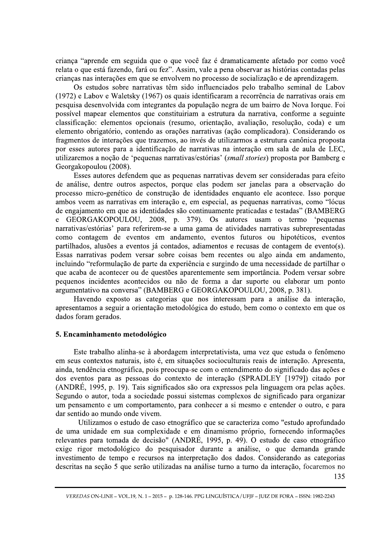criança "aprende em seguida que o que você faz é dramaticamente afetado por como você relata o que está fazendo, fará ou fez". Assim, vale a pena observar as histórias contadas pelas crianças nas interações em que se envolvem no processo de socialização e de aprendizagem.

Os estudos sobre narrativas têm sido influenciados pelo trabalho seminal de Labov (1972) e Labov e Waletsky (1967) os quais identificaram a recorrência de narrativas orais em pesquisa desenvolvida com integrantes da população negra de um bairro de Nova Iorque. Foi possível mapear elementos que constituiriam a estrutura da narrativa, conforme a seguinte classificação: elementos opcionais (resumo, orientação, avaliação, resolução, coda) e um elemento obrigatório, contendo as orações narrativas (ação complicadora). Considerando os fragmentos de interações que trazemos, ao invés de utilizarmos a estrutura canônica proposta por esses autores para a identificação de narrativas na interação em sala de aula de LEC, utilizaremos a noção de 'pequenas narrativas/estórias' (small stories) proposta por Bamberg e Georgakopoulou (2008).

Esses autores defendem que as pequenas narrativas devem ser consideradas para efeito de análise, dentre outros aspectos, porque elas podem ser janelas para a observação do processo micro-genético de construção de identidades enquanto ele acontece. Isso porque ambos veem as narrativas em interação e, em especial, as pequenas narrativas, como "lócus de engajamento em que as identidades são continuamente praticadas e testadas" (BAMBERG  $\mathbf{e}$ GEORGAKOPOULOU, 2008, p. 379). Os autores usam o termo 'pequenas narrativas/estórias' para referirem-se a uma gama de atividades narrativas subrepresentadas como contagem de eventos em andamento, eventos futuros ou hipotéticos, eventos partilhados, alusões a eventos já contados, adiamentos e recusas de contagem de evento(s). Essas narrativas podem versar sobre coisas bem recentes ou algo ainda em andamento, incluindo "reformulação de parte da experiência e surgindo de uma necessidade de partilhar o que acaba de acontecer ou de questões aparentemente sem importância. Podem versar sobre pequenos incidentes acontecidos ou não de forma a dar suporte ou elaborar um ponto argumentativo na conversa" (BAMBERG e GEORGAKOPOULOU, 2008, p. 381).

Havendo exposto as categorias que nos interessam para a análise da interação, apresentamos a seguir a orientação metodológica do estudo, bem como o contexto em que os dados foram gerados.

## 5. Encaminhamento metodológico

Este trabalho alinha-se à abordagem interpretativista, uma vez que estuda o fenômeno em seus contextos naturais, isto é, em situações socioculturais reais de interação. Apresenta, ainda, tendência etnográfica, pois preocupa-se com o entendimento do significado das ações e dos eventos para as pessoas do contexto de interação (SPRADLEY [1979]) citado por (ANDRÉ, 1995, p. 19). Tais significados são ora expressos pela linguagem ora pelas ações. Segundo o autor, toda a sociedade possui sistemas complexos de significado para organizar um pensamento e um comportamento, para conhecer a si mesmo e entender o outro, e para dar sentido ao mundo onde vivem.

Utilizamos o estudo de caso etnográfico que se caracteriza como "estudo aprofundado de uma unidade em sua complexidade e em dinamismo próprio, fornecendo informações relevantes para tomada de decisão" (ANDRÉ, 1995, p. 49). O estudo de caso etnográfico exige rigor metodológico do pesquisador durante a análise, o que demanda grande investimento de tempo e recursos na interpretação dos dados. Considerando as categorias descritas na seção 5 que serão utilizadas na análise turno a turno da interação, focaremos no

VEREDAS ON-LINE - VOL.19, N. 1 - 2015 - p. 128-146. PPG LINGUÍSTICA / UFJF - JUIZ DE FORA - ISSN: 1982-2243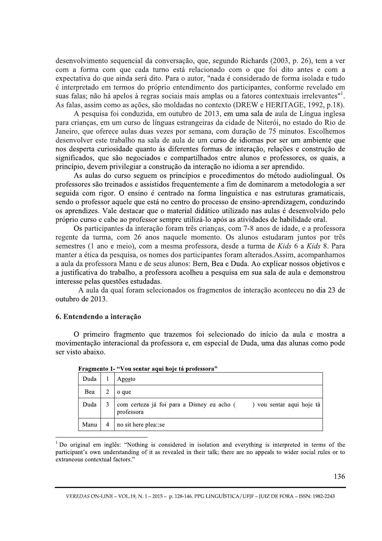desenvolvimento sequencial da conversação, que, segundo Richards (2003, p. 26), tem a ver com a forma com que cada turno está relacionado com o que foi dito antes e com a expectativa do que ainda será dito. Para o autor, "nada é considerado de forma isolada e tudo é interpretado em termos do próprio entendimento dos participantes, conforme revelado em suas falas; não há apelos à regras sociais mais amplas ou a fatores contextuais irrelevantes". As falas, assim como as ações, são moldadas no contexto (DREW e HERITAGE, 1992, p.18).

A pesquisa foi conduzida, em outubro de 2013, em uma sala de aula de Língua inglesa para crianças, em um curso de línguas estrangeiras da cidade de Niterói, no estado do Rio de Janeiro, que oferece aulas duas vezes por semana, com duração de 75 minutos. Escolhemos desenvolver este trabalho na sala de aula de um curso de idiomas por ser um ambiente que nos desperta curiosidade quanto às diferentes formas de interação, relações e construção de significados, que são negociados e compartilhados entre alunos e professores, os quais, a princípio, devem privilegiar a construção da interação no idioma a ser aprendido.

As aulas do curso seguem os princípios e procedimentos do método audiolingual. Os professores são treinados e assistidos frequentemente a fim de dominarem a metodologia a ser seguida com rigor. O ensino é centrado na forma linguística e nas estruturas gramaticais, sendo o professor aquele que está no centro do processo de ensino-aprendizagem, conduzindo os aprendizes. Vale destacar que o material didático utilizado nas aulas é desenvolvido pelo próprio curso e cabe ao professor sempre utilizá-lo após as atividades de habilidade oral.

Os participantes da interação foram três crianças, com 7-8 anos de idade, e a professora regente da turma, com 26 anos naquele momento. Os alunos estudaram juntos por três semestres (1 ano e meio), com a mesma professora, desde a turma de Kids 6 a Kids 8. Para manter a ética da pesquisa, os nomes dos participantes foram alterados. Assim, acompanhamos a aula da professora Manu e de seus alunos: Bern, Bea e Duda. Ao explicar nossos objetivos e a justificativa do trabalho, a professora acolheu a pesquisa em sua sala de aula e demonstrou interesse pelas questões estudadas.

A aula da qual foram selecionados os fragmentos de interação aconteceu no dia 23 de outubro de 2013.

#### 6. Entendendo a interação

O primeiro fragmento que trazemos foi selecionado do início da aula e mostra a movimentação interacional da professora e, em especial de Duda, uma das alunas como pode ser visto abaixo.

| Duda |                | Aposto                                                                            |
|------|----------------|-----------------------------------------------------------------------------------|
| Bea  |                | o que                                                                             |
| Duda |                | com certeza já foi para a Disney eu acho () vou sentar aqui hoje tá<br>professora |
| Manu | $\overline{4}$ | no sit here plea: se                                                              |

Fragmento 1- "Vou sentar aqui hoje tá professora"

<sup>&</sup>lt;sup>1</sup> Do original em inglês: "Nothing is considered in isolation and everything is interpreted in terms of the participant's own understanding of it as revealed in their talk; there are no appeals to wider social rules or to extraneous contextual factors."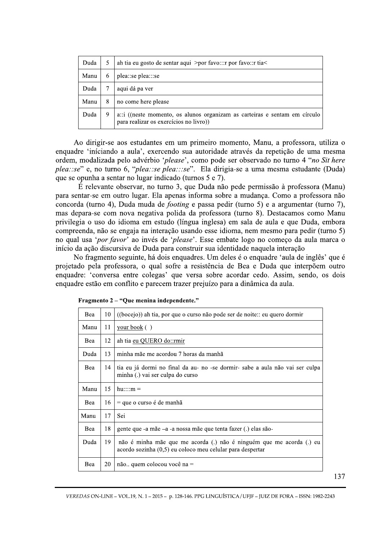| Duda |   | ah tia eu gosto de sentar aqui $\alpha$ >por favo::: r por favo:: r tia                                               |
|------|---|-----------------------------------------------------------------------------------------------------------------------|
| Manu | 6 | plea::se plea:::se                                                                                                    |
| Duda |   | aqui dá pa ver                                                                                                        |
| Manu | 8 | no come here please                                                                                                   |
| Duda | 9 | a:: i ((neste momento, os alunos organizam as carteiras e sentam em círculo<br>para realizar os exercícios no livro)) |

Ao dirigir-se aos estudantes em um primeiro momento, Manu, a professora, utiliza o enquadre 'iníciando a aula', exercendo sua autoridade através da repetição de uma mesma ordem, modalizada pelo advérbio 'please', como pode ser observado no turno 4 "no Sit here plea::se" e, no turno 6, "plea::se plea::se". Ela dirigia-se a uma mesma estudante (Duda) que se opunha a sentar no lugar indicado (turnos 5 e 7).

É relevante observar, no turno 3, que Duda não pede permissão à professora (Manu) para sentar-se em outro lugar. Ela apenas informa sobre a mudança. Como a professora não concorda (turno 4), Duda muda de *footing* e passa pedir (turno 5) e a argumentar (turno 7), mas depara-se com nova negativa polida da professora (turno 8). Destacamos como Manu privilegia o uso do idioma em estudo (língua inglesa) em sala de aula e que Duda, embora compreenda, não se engaja na interação usando esse idioma, nem mesmo para pedir (turno 5) no qual usa 'por favor' ao invés de 'please'. Esse embate logo no começo da aula marca o início da ação discursiva de Duda para construir sua identidade naquela interação

No fragmento seguinte, há dois enquadres. Um deles é o enquadre 'aula de inglês' que é projetado pela professora, o qual sofre a resistência de Bea e Duda que interpõem outro enquadre: 'conversa entre colegas' que versa sobre acordar cedo. Assim, sendo, os dois enquadre estão em conflito e parecem trazer prejuízo para a dinâmica da aula.

| Bea  | 10 | ((bocejo)) ah tia, por que o curso não pode ser de noite:: eu quero dormir                                                            |
|------|----|---------------------------------------------------------------------------------------------------------------------------------------|
| Manu | 11 | $\frac{1}{2}$ your book ()                                                                                                            |
| Bea  | 12 | ah tia eu QUERO do::rmir                                                                                                              |
| Duda | 13 | minha mãe me acordou 7 horas da manhã                                                                                                 |
| Bea  | 14 | tia eu já dormi no final da au- no -se dormir- sabe a aula não vai ser culpa<br>minha (.) vai ser culpa do curso                      |
| Manu | 15 | $hu::: m =$                                                                                                                           |
| Bea  | 16 | $=$ que o curso é de manhã                                                                                                            |
| Manu | 17 | Sei                                                                                                                                   |
| Bea  | 18 | gente que -a mãe -a -a nossa mãe que tenta fazer (.) elas são-                                                                        |
| Duda | 19 | não é minha mãe que me acorda (.) não é ninguém que me acorda (.) eu<br>$acordo$ sozinha $(0,5)$ eu coloco meu celular para despertar |
| Bea  | 20 | não quem colocou você na =                                                                                                            |

Fragmento 2 – "Oue menina independente."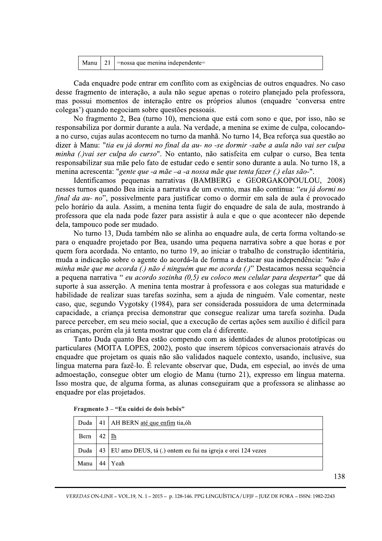|  |  | Manu   21   = nossa que menina independente = |
|--|--|-----------------------------------------------|
|--|--|-----------------------------------------------|

Cada enquadre pode entrar em conflito com as exigências de outros enquadres. No caso desse fragmento de interação, a aula não segue apenas o roteiro planejado pela professora, mas possui momentos de interação entre os próprios alunos (enquadre 'conversa entre colegas') quando negociam sobre questões pessoais.

No fragmento 2, Bea (turno 10), menciona que está com sono e que, por isso, não se responsabiliza por dormir durante a aula. Na verdade, a menina se exime de culpa, colocandoa no curso, cujas aulas acontecem no turno da manhã. No turno 14, Bea reforça sua questão ao dizer à Manu: "tia eu já dormi no final da au- no -se dormir -sabe a aula não vai ser culpa minha (.) vai ser culpa do curso". No entanto, não satisfeita em culpar o curso, Bea tenta responsabilizar sua mãe pelo fato de estudar cedo e sentir sono durante a aula. No turno 18, a menina acrescenta: "gente que -a mãe -a -a nossa mãe que tenta fazer (.) elas são-".

Identificamos pequenas narrativas (BAMBERG e GEORGAKOPOULOU, 2008) nesses turnos quando Bea inicia a narrativa de um evento, mas não continua: "eu já dormi no final da au- no", possivelmente para justificar como o dormir em sala de aula é provocado pelo horário da aula. Assim, a menina tenta fugir do enquadre de sala de aula, mostrando à professora que ela nada pode fazer para assistir à aula e que o que acontecer não depende dela, tampouco pode ser mudado.

No turno 13, Duda também não se alinha ao enquadre aula, de certa forma voltando-se para o enquadre projetado por Bea, usando uma pequena narrativa sobre a que horas e por quem fora acordada. No entanto, no turno 19, ao iniciar o trabalho de construção identitária, muda a indicação sobre o agente do acordá-la de forma a destacar sua independência: "não é minha mãe que me acorda (.) não é ninguém que me acorda (.)" Destacamos nessa sequência a pequena narrativa " eu acordo sozinha  $(0,5)$  eu coloco meu celular para despertar" que dá suporte à sua asserção. A menina tenta mostrar à professora e aos colegas sua maturidade e habilidade de realizar suas tarefas sozinha, sem a ajuda de ninguém. Vale comentar, neste caso, que, segundo Vygotsky (1984), para ser considerada possuidora de uma determinada capacidade, a criança precisa demonstrar que consegue realizar uma tarefa sozinha. Duda parece perceber, em seu meio social, que a execução de certas ações sem auxílio é difícil para as crianças, porém ela já tenta mostrar que com ela é diferente.

Tanto Duda quanto Bea estão compendo com as identidades de alunos prototípicas ou particulares (MOITA LOPES, 2002), posto que inserem tópicos conversacionais através do enquadre que projetam os quais não são validados naquele contexto, usando, inclusive, sua lingua materna para fazê-lo. É relevante observar que, Duda, em especial, ao invés de uma admoestação, consegue obter um elogio de Manu (turno 21), expresso em língua materna. Isso mostra que, de alguma forma, as alunas conseguiram que a professora se alinhasse ao enquadre por elas projetados.

| Duda |    | 41   AH BERN até que enfim tia, óh                               |
|------|----|------------------------------------------------------------------|
| Bern | 42 | Ih                                                               |
| Duda |    | 43   EU amo DEUS, tá (.) ontem eu fui na igreja e orei 124 vezes |
| Manu | 44 | Yeah                                                             |

| Fragmento 3 – "Eu cuidei de dois bebês" |  |  |  |
|-----------------------------------------|--|--|--|
|-----------------------------------------|--|--|--|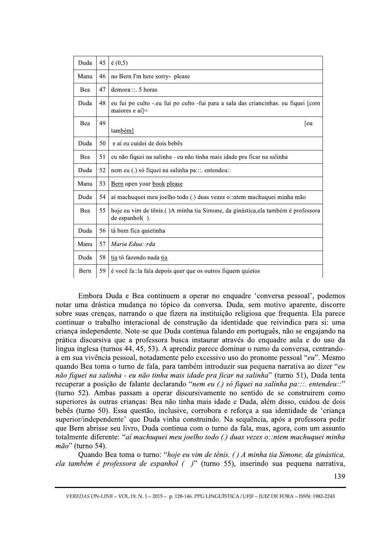| Duda | 45 | $\acute{\rm e}$ (0,5)                                                                                             |
|------|----|-------------------------------------------------------------------------------------------------------------------|
| Manu | 46 | no Bern I'm here sorry- please                                                                                    |
| Bea  | 47 | demora:::. 5 horas                                                                                                |
| Duda | 48 | eu fui po culto - eu fui po culto - fui para a sala das criancinhas. eu fiquei [com<br>maiores e aí <sup> =</sup> |
| Bea  | 49 | [eu]<br>também]                                                                                                   |
| Duda | 50 | e aí eu cuidei de dois bebês                                                                                      |
| Bea  | 51 | eu não fiquei na salinha - eu não tinha mais idade pra ficar na salinha                                           |
| Duda | 52 | nem eu (.) só fiquei na salinha pa:::. entendeu::                                                                 |
| Manu | 53 | Bern open your book please                                                                                        |
| Duda | 54 | aí machuquei meu joelho todo (.) duas vezes o::ntem machuquei minha mão                                           |
| Bea  | 55 | hoje eu vim de tênis. () A minha tia Simone, da ginástica, ela também é professora<br>de espanhol().              |
| Duda | 56 | tá bom fica quietinha                                                                                             |
| Manu | 57 | Maria Edua: :rda                                                                                                  |
| Duda | 58 | tia tô fazendo nada tia                                                                                           |
| Bern | 59 | é você fa: la fala depois quer que os outros fiquem quietos                                                       |

Embora Duda e Bea continuem a operar no enquadre 'conversa pessoal', podemos notar uma drástica mudança no tópico da conversa. Duda, sem motivo aparente, discorre sobre suas crenças, narrando o que fizera na instituição religiosa que frequenta. Ela parece continuar o trabalho interacional de construção da identidade que reivindica para si: uma criança independente. Note-se que Duda continua falando em português, não se engajando na prática discursiva que a professora busca instaurar através do enquadre aula e do uso da lingua inglesa (turnos 44, 45, 53). A aprendiz parece dominar o rumo da conversa, centrandoa em sua vivência pessoal, notadamente pelo excessivo uso do pronome pessoal "*eu*". Mesmo quando Bea toma o turno de fala, para também introduzir sua pequena narrativa ao dizer "eu não fiquei na salinha - eu não tinha mais idade pra ficar na salinha" (turno 51), Duda tenta recuperar a posição de falante declarando "nem eu (.) só fiquei na salinha pa:::. entendeu::" (turno 52). Ambas passam a operar discursivamente no sentido de se construirem como superiores às outras crianças: Bea não tinha mais idade e Duda, além disso, cuidou de dois bebês (turno 50). Essa questão, inclusive, corrobora e reforça a sua identidade de 'criança superior/independente' que Duda vinha construindo. Na sequência, após a professora pedir que Bern abrisse seu livro, Duda continua com o turno da fala, mas, agora, com um assunto totalmente diferente: "ai machuquei meu joelho todo (.) duas vezes o::ntem machuquei minha  $m\tilde{a}o$ " (turno 54).

turno: "*hoje eu vim de tênis. () A minha tia Simone, de espanhol ()*" (turno 55), inserindo sua pequena<br>
.1-2015- p. 128-146. PPG LINGUÍSTICA/UFJF - JUIZ DE FORA - ISSN: Quando Bea toma o turno: "hoje eu vim de tênis. () A minha tia Simone, da ginástica, ela também é professora de espanhol ( $'$ )" (turno 55), inserindo sua pequena narrativa,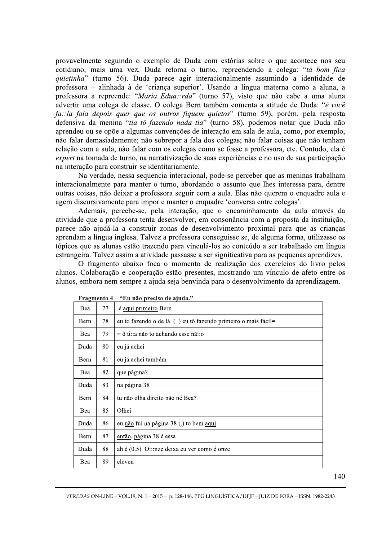provavelmente seguindo o exemplo de Duda com estórias sobre o que acontece nos seu cotidiano, mais uma vez, Duda retoma o turno, repreendendo a colega: "tá bom fica quietinha" (turno 56). Duda parece agir interacionalmente assumindo a identidade de professora – alinhada à de 'criança superior'. Usando a lingua materna como a aluna, a professora a repreende: "Maria Edua::rda" (turno 57), visto que não cabe a uma aluna advertir uma colega de classe. O colega Bern também comenta a atitude de Duda: "é você fa::la fala depois quer que os outros fiquem quietos" (turno 59), porém, pela resposta defensiva da menina "tia tô fazendo nada tia" (turno 58), podemos notar que Duda não aprendeu ou se opõe a algumas convenções de interação em sala de aula, como, por exemplo, não falar demasiadamente; não sobrepor a fala dos colegas; não falar coisas que não tenham relação com a aula, não falar com os colegas como se fosse a professora, etc. Contudo, ela é expert na tomada de turno, na narrativização de suas experiências e no uso de sua participação na interação para construir-se identitariamente.

Na verdade, nessa sequencia interacional, pode-se perceber que as meninas trabalham interacionalmente para manter o turno, abordando o assunto que lhes interessa para, dentre outras coisas, não deixar a professora seguir com a aula. Elas não querem o enquadre aula e agem discursivamente para impor e manter o enquadre 'conversa entre colegas'.

Ademais, percebe-se, pela interação, que o encaminhamento da aula através da atividade que a professora tenta desenvolver, em consonância com a proposta da instituição, parece não ajudá-la a construir zonas de desenvolvimento proximal para que as crianças aprendam a língua inglesa. Talvez a professora conseguisse se, de alguma forma, utilizasse os tópicos que as alunas estão trazendo para vinculá-los ao conteúdo a ser trabalhado em língua estrangeira. Talvez assim a atividade passasse a ser signiticativa para as pequenas aprendizes.

O fragmento abaixo foca o momento de realização dos exercícios do livro pelos alunos. Colaboração e cooperação estão presentes, mostrando um vínculo de afeto entre os alunos, embora nem sempre a ajuda seja benvinda para o desenvolvimento da aprendizagem.

| Bea  | 77 | é aqui primeiro Bern                                           |
|------|----|----------------------------------------------------------------|
| Bern | 78 | eu to fazendo o de lá. () eu tô fazendo primeiro o mais fácil= |
| Bea  | 79 | $=$ ô ti:: a não to achando esse nã:: o                        |
| Duda | 80 | eu já achei                                                    |
| Bern | 81 | eu já achei também                                             |
| Bea  | 82 | que página?                                                    |
| Duda | 83 | na página 38                                                   |
| Bern | 84 | tu não olha direito não né Bea?                                |
| Bea  | 85 | Olhei                                                          |
| Duda | 86 | eu não fui na página 38 (.) to bem aqui                        |
| Bern | 87 | então, página 38 é essa                                        |
| Duda | 88 | ah é $(0.5)$ O:::nze deixa eu ver como é onze                  |
| Bea  | 89 | eleven                                                         |

Fragmento 4 - "Eu não preciso de ajuda."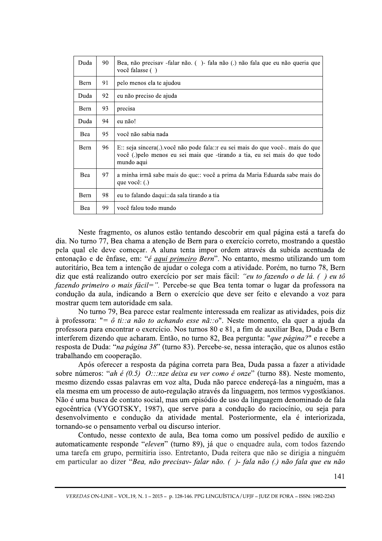| Duda | 90 | Bea, não precisav -falar não. () - fala não (.) não fala que eu não queria que<br>você falasse ()                                                                            |
|------|----|------------------------------------------------------------------------------------------------------------------------------------------------------------------------------|
| Bern | 91 | pelo menos ela te ajudou                                                                                                                                                     |
| Duda | 92 | eu não preciso de ajuda                                                                                                                                                      |
| Bern | 93 | precisa                                                                                                                                                                      |
| Duda | 94 | eu não!                                                                                                                                                                      |
| Bea  | 95 | você não sabia nada                                                                                                                                                          |
| Bern | 96 | E:: seja sincera(.) você não pode fala:: r eu sei mais do que você- mais do que<br>você (.) pelo menos eu sei mais que -tirando a tia, eu sei mais do que todo<br>mundo aqui |
| Bea  | 97 | a minha irmã sabe mais do que:: você a prima da Maria Eduarda sabe mais do<br>que você: $(.)$                                                                                |
| Bern | 98 | eu to falando daqui::da sala tirando a tia                                                                                                                                   |
| Bea  | 99 | você falou todo mundo                                                                                                                                                        |

Neste fragmento, os alunos estão tentando descobrir em qual página está a tarefa do dia. No turno 77, Bea chama a atenção de Bern para o exercício correto, mostrando a questão pela qual ele deve começar. A aluna tenta impor ordem através da subida acentuada de entonação e de ênfase, em: "é aqui primeiro Bern". No entanto, mesmo utilizando um tom autoritário, Bea tem a intenção de ajudar o colega com a atividade. Porém, no turno 78, Bern diz que está realizando outro exercício por ser mais fácil: "eu to fazendo o de lá. () eu tô fazendo primeiro o mais fácil=". Percebe-se que Bea tenta tomar o lugar da professora na condução da aula, indicando a Bern o exercício que deve ser feito e elevando a voz para mostrar quem tem autoridade em sala.

No turno 79, Bea parece estar realmente interessada em realizar as atividades, pois diz à professora: "=  $\hat{o}$  ti::*a* não to achando esse nã::*o*". Neste momento, ela quer a ajuda da professora para encontrar o exercício. Nos turnos 80 e 81, a fim de auxiliar Bea, Duda e Bern interferem dizendo que acharam. Então, no turno 82, Bea pergunta: "que página?" e recebe a resposta de Duda: "na página 38" (turno 83). Percebe-se, nessa interação, que os alunos estão trabalhando em cooperação.

Após oferecer a resposta da página correta para Bea, Duda passa a fazer a atividade sobre números: "ah é (0.5) O:::nze deixa eu ver como é onze" (turno 88). Neste momento, mesmo dizendo essas palavras em voz alta, Duda não parece endereçá-las a ninguém, mas a ela mesma em um processo de auto-regulação através da linguagem, nos termos vygostkianos. Não é uma busca de contato social, mas um episódio de uso da linguagem denominado de fala egocêntrica (VYGOTSKY, 1987), que serve para a condução do raciocínio, ou seja para desenvolvimento e condução da atividade mental. Posteriormente, ela é interiorizada, tornando-se o pensamento verbal ou discurso interior.

Contudo, nesse contexto de aula, Bea toma como um possível pedido de auxílio e automaticamente responde "eleven" (turno 89), já que o enquadre aula, com todos fazendo uma tarefa em grupo, permitiria isso. Entretanto, Duda reitera que não se dirigia a ninguém em particular ao dizer "Bea, não precisav- falar não. ()-fala não (.) não fala que eu não

VEREDAS ON-LINE - VOL.19, N. 1 - 2015 - p. 128-146. PPG LINGUÍSTICA / UFJF - JUIZ DE FORA - ISSN: 1982-2243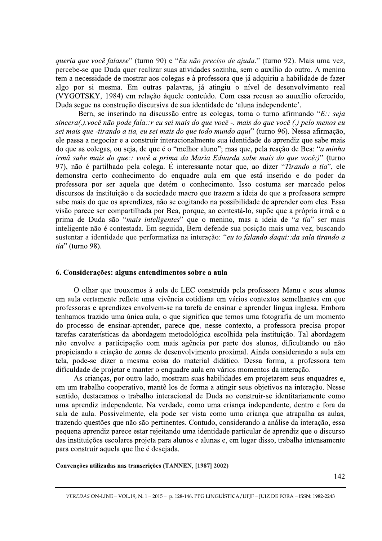queria que você falasse" (turno 90) e "Eu não preciso de ajuda." (turno 92). Mais uma vez, percebe-se que Duda quer realizar suas atividades sozinha, sem o auxílio do outro. A menina tem a necessidade de mostrar aos colegas e à professora que já adquiriu a habilidade de fazer algo por si mesma. Em outras palavras, já atingiu o nível de desenvolvimento real (VYGOTSKY, 1984) em relação àquele conteúdo. Com essa recusa ao auuxílio oferecido, Duda segue na construção discursiva de sua identidade de 'aluna independente'.

Bern, se inserindo na discussão entre as colegas, toma o turno afirmando "E:: seja sincera(.).você não pode fala:: r eu sei mais do que você -. mais do que você (.) pelo menos eu sei mais que -tirando a tia, eu sei mais do que todo mundo aqui" (turno 96). Nessa afirmação, ele passa a negociar e a construir interacionalmente sua identidade de aprendiz que sabe mais do que as colegas, ou seja, de que é o "melhor aluno"; mas que, pela reação de Bea: "a minha irmã sabe mais do que:: você a prima da Maria Eduarda sabe mais do que você:)" (turno 97), não é partilhado pela colega. É interessante notar que, ao dizer "Tirando a tia", ele demonstra certo conhecimento do enquadre aula em que está inserido e do poder da professora por ser aquela que detém o conhecimento. Isso costuma ser marcado pelos discursos da instituição e da sociedade macro que trazem a ideia de que a professora sempre sabe mais do que os aprendizes, não se cogitando na possibilidade de aprender com eles. Essa visão parece ser compartilhada por Bea, porque, ao contestá-lo, supõe que a própria irmã e a prima de Duda são "mais inteligentes" que o menino, mas a ideia de "a tia" ser mais inteligente não é contestada. Em seguida, Bern defende sua posição mais uma vez, buscando sustentar a identidade que performatiza na interação: "eu to falando daqui: : da sala tirando a *tia*" (turno 98).

#### 6. Considerações: alguns entendimentos sobre a aula

O olhar que trouxemos à aula de LEC construída pela professora Manu e seus alunos em aula certamente reflete uma vivência cotidiana em vários contextos semelhantes em que professoras e aprendizes envolvem-se na tarefa de ensinar e aprender língua inglesa. Embora tenhamos trazido uma única aula, o que significa que temos uma fotografía de um momento do processo de ensinar-aprender, parece que, nesse contexto, a professora precisa propor tarefas caraterísticas da abordagem metodológica escolhida pela instituição. Tal abordagem não envolve a participação com mais agência por parte dos alunos, dificultando ou não propiciando a criação de zonas de desenvolvimento proximal. Ainda considerando a aula em tela, pode-se dizer a mesma coisa do material didático. Dessa forma, a professora tem dificuldade de projetar e manter o enquadre aula em vários momentos da interação.

As criancas, por outro lado, mostram suas habilidades em projetarem seus enquadres e, em um trabalho cooperativo, mantê-los de forma a atingir seus objetivos na interação. Nesse sentido, destacamos o trabalho interacional de Duda ao construir-se identitariamente como uma aprendiz independente. Na verdade, como uma crianca independente, dentro e fora da sala de aula. Possivelmente, ela pode ser vista como uma criança que atrapalha as aulas, trazendo questões que não são pertinentes. Contudo, considerando a análise da interação, essa pequena aprendiz parece estar rejeitando uma identidade particular de aprendiz que o discurso das instituições escolares projeta para alunos e alunas e, em lugar disso, trabalha intensamente para construir aquela que lhe é desejada.

Convenções utilizadas nas transcrições (TANNEN, [1987] 2002)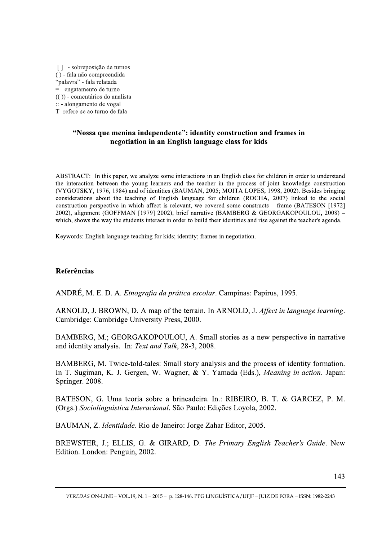[] - sobreposição de turnos () - fala não compreendida "palavra" - fala relatada = - engatamento de turno  $(())$  - comentários do analista :: - alongamento de vogal T- refere-se ao turno de fala

# "Nossa que menina independente": identity construction and frames in negotiation in an English language class for kids

ABSTRACT: In this paper, we analyze some interactions in an English class for children in order to understand the interaction between the young learners and the teacher in the process of joint knowledge construction (VYGOTSKY, 1976, 1984) and of identities (BAUMAN, 2005; MOITA LOPES, 1998, 2002). Besides bringing considerations about the teaching of English language for children (ROCHA, 2007) linked to the social construction perspective in which affect is relevant, we covered some constructs – frame (BATESON [1972] 2002), alignment (GOFFMAN [1979] 2002), brief narrative (BAMBERG & GEORGAKOPOULOU, 2008) which, shows the way the students interact in order to build their identities and rise against the teacher's agenda.

Keywords: English language teaching for kids; identity; frames in negotiation.

# Referências

ANDRÉ, M. E. D. A. *Etnografia da prática escolar*. Campinas: Papirus, 1995.

ARNOLD, J. BROWN, D. A map of the terrain. In ARNOLD, J. Affect in language learning. Cambridge: Cambridge University Press, 2000.

BAMBERG, M.; GEORGAKOPOULOU, A. Small stories as a new perspective in narrative and identity analysis. In: Text and Talk, 28-3, 2008.

BAMBERG, M. Twice-told-tales: Small story analysis and the process of identity formation. In T. Sugiman, K. J. Gergen, W. Wagner, & Y. Yamada (Eds.), Meaning in action. Japan: Springer. 2008.

BATESON, G. Uma teoria sobre a brincadeira. In.: RIBEIRO, B. T. & GARCEZ, P. M. (Orgs.) Sociolinguística Interacional. São Paulo: Edições Loyola, 2002.

BAUMAN, Z. Identidade. Rio de Janeiro: Jorge Zahar Editor, 2005.

BREWSTER, J.; ELLIS, G. & GIRARD, D. The Primary English Teacher's Guide. New Edition. London: Penguin, 2002.

VEREDAS ON-LINE - VOL.19, N. 1 - 2015 - p. 128-146. PPG LINGUÍSTICA / UFJF - JUIZ DE FORA - ISSN: 1982-2243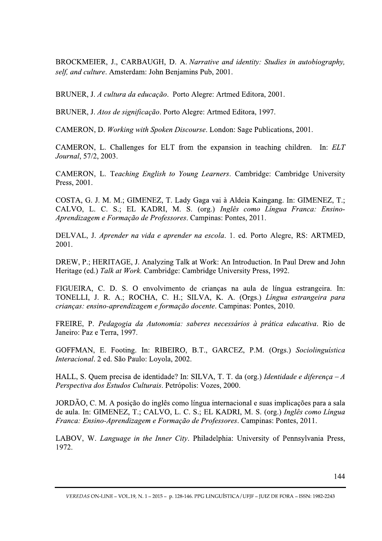BROCKMEIER, J., CARBAUGH, D. A. Narrative and identity: Studies in autobiography, self, and culture. Amsterdam: John Benjamins Pub, 2001.

BRUNER, J. A cultura da educação. Porto Alegre: Artmed Editora, 2001.

BRUNER, J. Atos de significação. Porto Alegre: Artmed Editora, 1997.

CAMERON, D. Working with Spoken Discourse. London: Sage Publications, 2001.

CAMERON, L. Challenges for ELT from the expansion in teaching children. In: ELT Journal, 57/2, 2003.

CAMERON, L. Teaching English to Young Learners. Cambridge: Cambridge University Press, 2001.

COSTA, G. J. M. M.; GIMENEZ, T. Lady Gaga vai à Aldeia Kaingang. In: GIMENEZ, T.; CALVO, L. C. S.; EL KADRI, M. S. (org.) Inglês como Língua Franca: Ensino-Aprendizagem e Formação de Professores, Campinas: Pontes, 2011.

DELVAL, J. Aprender na vida e aprender na escola. 1. ed. Porto Alegre, RS: ARTMED, 2001.

DREW, P.; HERITAGE, J. Analyzing Talk at Work: An Introduction. In Paul Drew and John Heritage (ed.) Talk at Work. Cambridge: Cambridge University Press, 1992.

FIGUEIRA, C. D. S. O envolvimento de crianças na aula de língua estrangeira. In: TONELLI, J. R. A.; ROCHA, C. H.; SILVA, K. A. (Orgs.) Língua estrangeira para criancas: ensino-aprendizagem e formação docente. Campinas: Pontes, 2010.

FREIRE, P. Pedagogia da Autonomia: saberes necessários à prática educativa. Rio de Janeiro: Paz e Terra, 1997.

GOFFMAN, E. Footing. In: RIBEIRO, B.T., GARCEZ, P.M. (Orgs.) Sociolinguística Interacional. 2 ed. São Paulo: Loyola, 2002.

HALL, S. Quem precisa de identidade? In: SILVA, T. T. da (org.) Identidade e diferença - A Perspectiva dos Estudos Culturais. Petrópolis: Vozes, 2000.

JORDÃO, C. M. A posição do inglês como língua internacional e suas implicações para a sala de aula. In: GIMENEZ, T.; CALVO, L. C. S.; EL KADRI, M. S. (org.) Inglês como Língua Franca: Ensino-Aprendizagem e Formação de Professores, Campinas: Pontes, 2011.

LABOV, W. Language in the Inner City. Philadelphia: University of Pennsylvania Press, 1972.

VEREDAS ON-LINE - VOL.19, N. 1 - 2015 - p. 128-146. PPG LINGUÍSTICA / UFJF - JUIZ DE FORA - ISSN: 1982-2243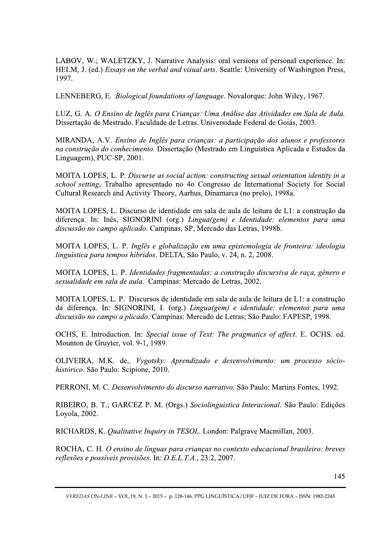LABOV, W.; WALETZKY, J. Narrative Analysis: oral versions of personal experience. In: HELM, J. (ed.) Essays on the verbal and visual arts. Seattle: University of Washington Press, 1997.

LENNEBERG, E. Biological foundations of language. Novalorque: John Wiley, 1967.

LUZ, G. A. O Ensino de Inglês para Crianças: Uma Análise das Atividades em Sala de Aula. Dissertação de Mestrado. Faculdade de Letras. Universidade Federal de Goiás, 2003.

MIRANDA, A.V. Ensino de Inglês para crianças: a participação dos alunos e professores na construção do conhecimento. Dissertação (Mestrado em Linguística Aplicada e Estudos da Linguagem), PUC-SP, 2001.

MOITA LOPES, L. P. Discurse as social action: constructing sexual orientation identity in a school setting, Trabalho apresentado no 4o Congresso de International Society for Social Cultural Research and Activity Theory, Aarhus, Dinamarca (no prelo), 1998a.

MOITA LOPES, L. Discurso de identidade em sala de aula de leitura de L1: a construção da diferença. In: Inês, SIGNORINI (org.) Lingua(gem) e Identidade: elementos para uma discussão no campo aplicado. Campinas, SP, Mercado das Letras, 1998b.

MOITA LOPES, L. P. Inglês e globalização em uma epistemologia de fronteira: ideologia linguística para tempos híbridos. DELTA, São Paulo, v. 24, n. 2, 2008.

MOITA LOPES, L. P. Identidades fragmentadas: a construção discursiva de raça, gênero e sexualidade em sala de aula. Campinas: Mercado de Letras, 2002.

MOITA LOPES, L. P. Discursos de identidade em sala de aula de leitura de L1: a construção da diferença. In: SIGNORINI, I. (org.) Lingua(gem) e identidade: elementos para uma discussão no campo a plicado. Campinas: Mercado de Letras; São Paulo: FAPESP, 1998.

OCHS, E. Introduction. In: Special issue of Text: The pragmatics of affect. E. OCHS. ed. Mounton de Gruyter, vol. 9-1, 1989.

OLIVEIRA, M.K. de,. Vygotsky: Aprendizado e desenvolvimento: um processo sóciohistórico. São Paulo: Scipione, 2010.

PERRONI, M. C. Desenvolvimento do discurso narrativo. São Paulo: Martins Fontes, 1992.

RIBEIRO, B. T.; GARCEZ P. M. (Orgs.) Sociolinguística Interacional. São Paulo: Edições Loyola, 2002.

RICHARDS, K. Qualitative Inquiry in TESOL. London: Palgrave Macmillan, 2003.

ROCHA, C. H. O ensino de línguas para crianças no contexto educacional brasileiro: breves reflexões e possíveis provisões. In: D.E.L.T.A., 23:2, 2007.

VEREDAS ON-LINE - VOL.19, N. 1 - 2015 - p. 128-146. PPG LINGUÍSTICA / UFJF - JUIZ DE FORA - ISSN: 1982-2243